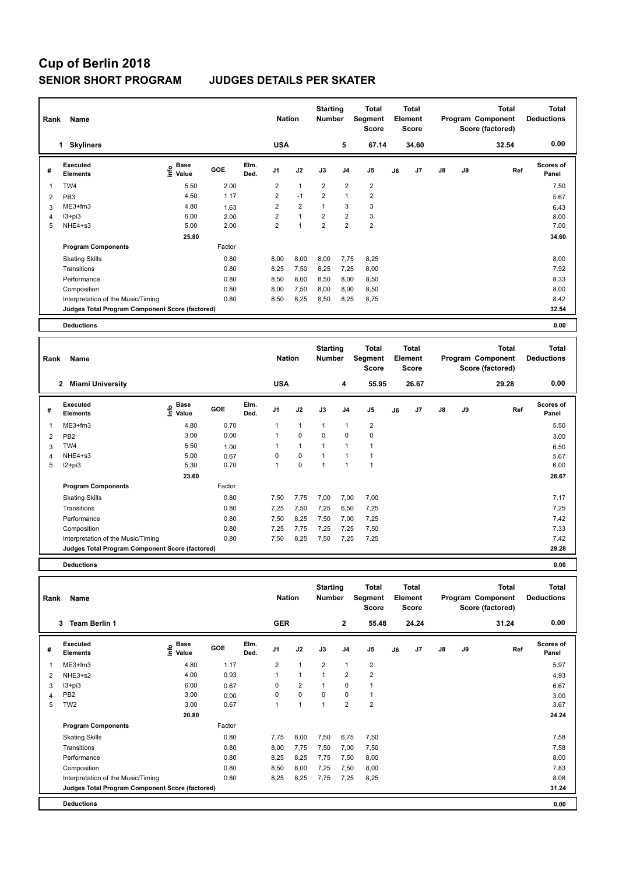## **Cup of Berlin 2018 SENIOR SHORT PROGRAM JUDGES DETAILS PER SKATER**

| Name<br>Rank |                                                 |                              |        |              |                | <b>Nation</b>  |                | <b>Starting</b><br><b>Number</b> | <b>Total</b><br>Segment<br><b>Score</b> | <b>Total</b><br>Element<br><b>Score</b> |       |    |    | Total<br>Program Component<br>Score (factored) | <b>Total</b><br><b>Deductions</b> |
|--------------|-------------------------------------------------|------------------------------|--------|--------------|----------------|----------------|----------------|----------------------------------|-----------------------------------------|-----------------------------------------|-------|----|----|------------------------------------------------|-----------------------------------|
|              | <b>Skyliners</b><br>1                           |                              |        |              | <b>USA</b>     |                |                | 5                                | 67.14                                   |                                         | 34.60 |    |    | 32.54                                          | 0.00                              |
| #            | Executed<br><b>Elements</b>                     | <b>Base</b><br>١nf٥<br>Value | GOE    | Elm.<br>Ded. | J <sub>1</sub> | J2             | J3             | J <sub>4</sub>                   | J <sub>5</sub>                          | J6                                      | J7    | J8 | J9 | Ref                                            | <b>Scores of</b><br>Panel         |
| -1           | TW4                                             | 5.50                         | 2.00   |              | $\overline{2}$ | $\mathbf{1}$   | $\overline{2}$ | 2                                | $\overline{2}$                          |                                         |       |    |    |                                                | 7.50                              |
| 2            | PB <sub>3</sub>                                 | 4.50                         | 1.17   |              | $\overline{2}$ | $-1$           | $\overline{2}$ | $\overline{1}$                   | $\overline{2}$                          |                                         |       |    |    |                                                | 5.67                              |
| 3            | ME3+fm3                                         | 4.80                         | 1.63   |              | 2              | $\overline{2}$ | $\overline{1}$ | 3                                | 3                                       |                                         |       |    |    |                                                | 6.43                              |
| 4            | $13 + pi3$                                      | 6.00                         | 2.00   |              | $\overline{2}$ | $\overline{1}$ | $\overline{2}$ | $\overline{2}$                   | 3                                       |                                         |       |    |    |                                                | 8.00                              |
| 5            | NHE4+s3                                         | 5.00                         | 2.00   |              | $\overline{2}$ | 4              | $\overline{2}$ | $\overline{2}$                   | $\overline{2}$                          |                                         |       |    |    |                                                | 7.00                              |
|              |                                                 | 25.80                        |        |              |                |                |                |                                  |                                         |                                         |       |    |    |                                                | 34.60                             |
|              | <b>Program Components</b>                       |                              | Factor |              |                |                |                |                                  |                                         |                                         |       |    |    |                                                |                                   |
|              | <b>Skating Skills</b>                           |                              | 0.80   |              | 8,00           | 8,00           | 8,00           | 7,75                             | 8,25                                    |                                         |       |    |    |                                                | 8.00                              |
|              | Transitions                                     |                              | 0.80   |              | 8,25           | 7,50           | 8,25           | 7,25                             | 8,00                                    |                                         |       |    |    |                                                | 7.92                              |
|              | Performance                                     |                              | 0.80   |              | 8,50           | 8,00           | 8,50           | 8,00                             | 8,50                                    |                                         |       |    |    |                                                | 8.33                              |
|              | Composition                                     |                              | 0.80   |              | 8,00           | 7,50           | 8,00           | 8,00                             | 8,50                                    |                                         |       |    |    |                                                | 8.00                              |
|              | Interpretation of the Music/Timing              |                              | 0.80   |              | 8,50           | 8,25           | 8,50           | 8,25                             | 8,75                                    |                                         |       |    |    |                                                | 8.42                              |
|              | Judges Total Program Component Score (factored) |                              |        |              |                |                |                |                                  |                                         |                                         |       |    |    |                                                | 32.54                             |
|              | <b>Deductions</b>                               |                              |        |              |                |                |                |                                  |                                         |                                         |       |    |    |                                                | 0.00                              |

| Name<br>Rank   |                                                 |                                                                               |            |              |                | <b>Nation</b> |             | <b>Starting</b><br><b>Number</b> | Total<br>Segment<br><b>Score</b> | Total<br><b>Element</b><br>Score |                | Program Component<br>Score (factored) |    | <b>Total</b> | <b>Total</b><br><b>Deductions</b> |
|----------------|-------------------------------------------------|-------------------------------------------------------------------------------|------------|--------------|----------------|---------------|-------------|----------------------------------|----------------------------------|----------------------------------|----------------|---------------------------------------|----|--------------|-----------------------------------|
|                | <b>Miami University</b><br>2                    |                                                                               |            |              | <b>USA</b>     |               |             | 4                                | 55.95                            |                                  | 26.67          |                                       |    | 29.28        | 0.00                              |
| #              | Executed<br><b>Elements</b>                     | $\overset{\circ}{\text{\sf E}}$ Base<br>$\overset{\circ}{\text{\sf E}}$ Value | <b>GOE</b> | Elm.<br>Ded. | J <sub>1</sub> | J2            | J3          | J <sub>4</sub>                   | J5                               | J6                               | J <sub>7</sub> | J8                                    | J9 | Ref          | <b>Scores of</b><br>Panel         |
|                | $ME3+fm3$                                       | 4.80                                                                          | 0.70       |              |                | 1             |             | 1                                | $\overline{2}$                   |                                  |                |                                       |    |              | 5.50                              |
| $\overline{2}$ | PB <sub>2</sub>                                 | 3.00                                                                          | 0.00       |              | 1              | $\mathbf 0$   | $\mathbf 0$ | $\mathbf 0$                      | $\mathbf 0$                      |                                  |                |                                       |    |              | 3.00                              |
| 3              | TW4                                             | 5.50                                                                          | 1.00       |              |                | $\mathbf{1}$  | и           | $\overline{1}$                   |                                  |                                  |                |                                       |    |              | 6.50                              |
| 4              | NHE4+s3                                         | 5.00                                                                          | 0.67       |              | 0              | $\mathbf 0$   |             |                                  |                                  |                                  |                |                                       |    |              | 5.67                              |
| 5              | $12+pi3$                                        | 5.30                                                                          | 0.70       |              | -1             | $\mathbf 0$   | -1          | -1                               | 1                                |                                  |                |                                       |    |              | 6.00                              |
|                |                                                 | 23.60                                                                         |            |              |                |               |             |                                  |                                  |                                  |                |                                       |    |              | 26.67                             |
|                | <b>Program Components</b>                       |                                                                               | Factor     |              |                |               |             |                                  |                                  |                                  |                |                                       |    |              |                                   |
|                | <b>Skating Skills</b>                           |                                                                               | 0.80       |              | 7,50           | 7,75          | 7,00        | 7,00                             | 7,00                             |                                  |                |                                       |    |              | 7.17                              |
|                | Transitions                                     |                                                                               | 0.80       |              | 7,25           | 7,50          | 7,25        | 6,50                             | 7,25                             |                                  |                |                                       |    |              | 7.25                              |
|                | Performance                                     |                                                                               | 0.80       |              | 7,50           | 8,25          | 7,50        | 7,00                             | 7,25                             |                                  |                |                                       |    |              | 7.42                              |
|                | Composition                                     |                                                                               | 0.80       |              | 7,25           | 7,75          | 7,25        | 7,25                             | 7,50                             |                                  |                |                                       |    |              | 7.33                              |
|                | Interpretation of the Music/Timing              |                                                                               | 0.80       |              | 7,50           | 8,25          | 7,50        | 7,25                             | 7,25                             |                                  |                |                                       |    |              | 7.42                              |
|                | Judges Total Program Component Score (factored) |                                                                               |            |              |                |               |             |                                  |                                  |                                  |                |                                       |    |              | 29.28                             |
|                |                                                 |                                                                               |            |              |                |               |             |                                  |                                  |                                  |                |                                       |    |              |                                   |

**Deductions 0.00**

| Name<br>Rank |                                                 |                            |        |              |                | <b>Nation</b>  |                | <b>Starting</b><br><b>Number</b> | Total<br>Segment<br><b>Score</b> | <b>Total</b><br>Element<br><b>Score</b> |       |               |    | <b>Total</b><br>Program Component<br>Score (factored) | <b>Total</b><br><b>Deductions</b> |
|--------------|-------------------------------------------------|----------------------------|--------|--------------|----------------|----------------|----------------|----------------------------------|----------------------------------|-----------------------------------------|-------|---------------|----|-------------------------------------------------------|-----------------------------------|
|              | 3<br><b>Team Berlin 1</b>                       |                            |        |              | <b>GER</b>     |                |                | $\overline{2}$                   | 55.48                            |                                         | 24.24 |               |    | 31.24                                                 | 0.00                              |
| #            | Executed<br><b>Elements</b>                     | <b>Base</b><br>۴٥<br>Value | GOE    | Elm.<br>Ded. | J <sub>1</sub> | J2             | J3             | J <sub>4</sub>                   | J <sub>5</sub>                   | J6                                      | J7    | $\mathsf{J}8$ | J9 | Ref                                                   | Scores of<br>Panel                |
| 1            | $ME3+fm3$                                       | 4.80                       | 1.17   |              | $\overline{2}$ | $\mathbf{1}$   | $\overline{2}$ | $\mathbf{1}$                     | $\overline{\mathbf{c}}$          |                                         |       |               |    |                                                       | 5.97                              |
| 2            | NHE3+s2                                         | 4.00                       | 0.93   |              | 1              | $\mathbf{1}$   | 1              | $\overline{2}$                   | $\overline{2}$                   |                                         |       |               |    |                                                       | 4.93                              |
| 3            | $13 + pi3$                                      | 6.00                       | 0.67   |              | $\Omega$       | $\overline{2}$ |                | $\mathbf 0$                      | $\mathbf{1}$                     |                                         |       |               |    |                                                       | 6.67                              |
| 4            | PB <sub>2</sub>                                 | 3.00                       | 0.00   |              | 0              | $\pmb{0}$      | $\mathbf 0$    | $\mathbf 0$                      | $\mathbf{1}$                     |                                         |       |               |    |                                                       | 3.00                              |
| 5            | TW <sub>2</sub>                                 | 3.00                       | 0.67   |              | 1              | $\overline{1}$ | $\overline{ }$ | $\overline{2}$                   | $\overline{2}$                   |                                         |       |               |    |                                                       | 3.67                              |
|              |                                                 | 20.80                      |        |              |                |                |                |                                  |                                  |                                         |       |               |    |                                                       | 24.24                             |
|              | <b>Program Components</b>                       |                            | Factor |              |                |                |                |                                  |                                  |                                         |       |               |    |                                                       |                                   |
|              | <b>Skating Skills</b>                           |                            | 0.80   |              | 7,75           | 8,00           | 7,50           | 6,75                             | 7,50                             |                                         |       |               |    |                                                       | 7.58                              |
|              | Transitions                                     |                            | 0.80   |              | 8,00           | 7,75           | 7,50           | 7,00                             | 7,50                             |                                         |       |               |    |                                                       | 7.58                              |
|              | Performance                                     |                            | 0.80   |              | 8,25           | 8,25           | 7,75           | 7,50                             | 8,00                             |                                         |       |               |    |                                                       | 8.00                              |
|              | Composition                                     |                            | 0.80   |              | 8,50           | 8,00           | 7,25           | 7,50                             | 8,00                             |                                         |       |               |    |                                                       | 7.83                              |
|              | Interpretation of the Music/Timing              |                            | 0.80   |              | 8,25           | 8,25           | 7,75           | 7,25                             | 8,25                             |                                         |       |               |    |                                                       | 8.08                              |
|              | Judges Total Program Component Score (factored) |                            |        |              |                |                |                |                                  |                                  |                                         |       |               |    |                                                       | 31.24                             |
|              | <b>Deductions</b>                               |                            |        |              |                |                |                |                                  |                                  |                                         |       |               |    |                                                       | 0.00                              |